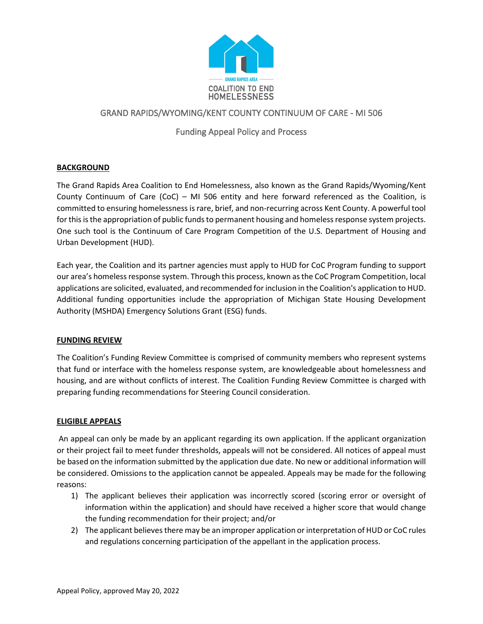

## GRAND RAPIDS/WYOMING/KENT COUNTY CONTINUUM OF CARE - MI 506

# Funding Appeal Policy and Process

## **BACKGROUND**

The Grand Rapids Area Coalition to End Homelessness, also known as the Grand Rapids/Wyoming/Kent County Continuum of Care (CoC) – MI 506 entity and here forward referenced as the Coalition, is committed to ensuring homelessness is rare, brief, and non-recurring across Kent County. A powerful tool for this is the appropriation of public funds to permanent housing and homeless response system projects. One such tool is the Continuum of Care Program Competition of the U.S. Department of Housing and Urban Development (HUD).

Each year, the Coalition and its partner agencies must apply to HUD for CoC Program funding to support our area's homeless response system. Through this process, known as the CoC Program Competition, local applications are solicited, evaluated, and recommended for inclusion in the Coalition's application to HUD. Additional funding opportunities include the appropriation of Michigan State Housing Development Authority (MSHDA) Emergency Solutions Grant (ESG) funds.

## **FUNDING REVIEW**

The Coalition's Funding Review Committee is comprised of community members who represent systems that fund or interface with the homeless response system, are knowledgeable about homelessness and housing, and are without conflicts of interest. The Coalition Funding Review Committee is charged with preparing funding recommendations for Steering Council consideration.

## **ELIGIBLE APPEALS**

An appeal can only be made by an applicant regarding its own application. If the applicant organization or their project fail to meet funder thresholds, appeals will not be considered. All notices of appeal must be based on the information submitted by the application due date. No new or additional information will be considered. Omissions to the application cannot be appealed. Appeals may be made for the following reasons:

- 1) The applicant believes their application was incorrectly scored (scoring error or oversight of information within the application) and should have received a higher score that would change the funding recommendation for their project; and/or
- 2) The applicant believes there may be an improper application or interpretation of HUD or CoC rules and regulations concerning participation of the appellant in the application process.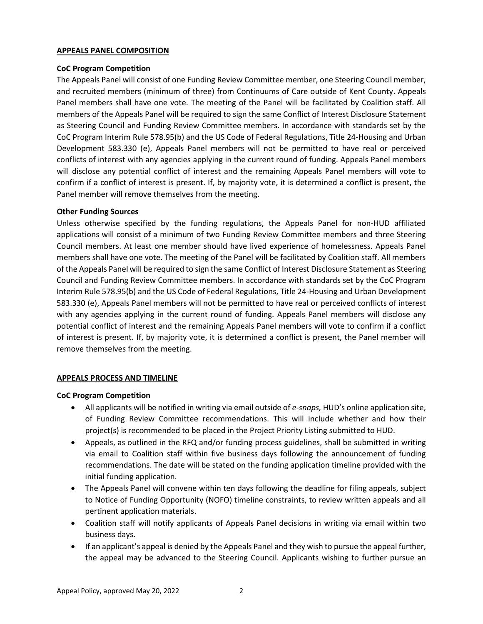#### **APPEALS PANEL COMPOSITION**

### **CoC Program Competition**

The Appeals Panel will consist of one Funding Review Committee member, one Steering Council member, and recruited members (minimum of three) from Continuums of Care outside of Kent County. Appeals Panel members shall have one vote. The meeting of the Panel will be facilitated by Coalition staff. All members of the Appeals Panel will be required to sign the same Conflict of Interest Disclosure Statement as Steering Council and Funding Review Committee members. In accordance with standards set by the CoC Program Interim Rule 578.95(b) and the US Code of Federal Regulations, Title 24-Housing and Urban Development 583.330 (e), Appeals Panel members will not be permitted to have real or perceived conflicts of interest with any agencies applying in the current round of funding. Appeals Panel members will disclose any potential conflict of interest and the remaining Appeals Panel members will vote to confirm if a conflict of interest is present. If, by majority vote, it is determined a conflict is present, the Panel member will remove themselves from the meeting.

## **Other Funding Sources**

Unless otherwise specified by the funding regulations, the Appeals Panel for non-HUD affiliated applications will consist of a minimum of two Funding Review Committee members and three Steering Council members. At least one member should have lived experience of homelessness. Appeals Panel members shall have one vote. The meeting of the Panel will be facilitated by Coalition staff. All members of the Appeals Panel will be required to sign the same Conflict of Interest Disclosure Statement as Steering Council and Funding Review Committee members. In accordance with standards set by the CoC Program Interim Rule 578.95(b) and the US Code of Federal Regulations, Title 24-Housing and Urban Development 583.330 (e), Appeals Panel members will not be permitted to have real or perceived conflicts of interest with any agencies applying in the current round of funding. Appeals Panel members will disclose any potential conflict of interest and the remaining Appeals Panel members will vote to confirm if a conflict of interest is present. If, by majority vote, it is determined a conflict is present, the Panel member will remove themselves from the meeting.

## **APPEALS PROCESS AND TIMELINE**

#### **CoC Program Competition**

- All applicants will be notified in writing via email outside of *e-snaps,* HUD's online application site, of Funding Review Committee recommendations. This will include whether and how their project(s) is recommended to be placed in the Project Priority Listing submitted to HUD.
- Appeals, as outlined in the RFQ and/or funding process guidelines, shall be submitted in writing via email to Coalition staff within five business days following the announcement of funding recommendations. The date will be stated on the funding application timeline provided with the initial funding application.
- The Appeals Panel will convene within ten days following the deadline for filing appeals, subject to Notice of Funding Opportunity (NOFO) timeline constraints, to review written appeals and all pertinent application materials.
- Coalition staff will notify applicants of Appeals Panel decisions in writing via email within two business days.
- If an applicant's appeal is denied by the Appeals Panel and they wish to pursue the appeal further, the appeal may be advanced to the Steering Council. Applicants wishing to further pursue an